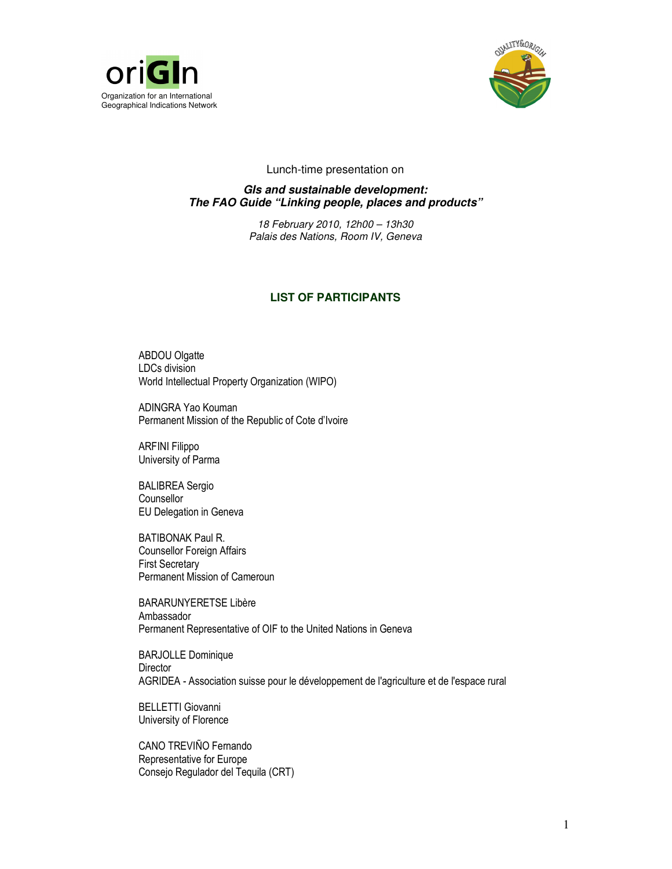



## Lunch-time presentation on

**GIs and sustainable development: The FAO Guide "Linking people, places and products"** 

> 18 February 2010, 12h00 – 13h30 Palais des Nations, Room IV, Geneva

## **LIST OF PARTICIPANTS**

ABDOU Olgatte LDCs division World Intellectual Property Organization (WIPO)

ADINGRA Yao Kouman Permanent Mission of the Republic of Cote d'Ivoire

ARFINI Filippo University of Parma

BALIBREA Sergio **Counsellor** EU Delegation in Geneva

BATIBONAK Paul R. Counsellor Foreign Affairs First Secretary Permanent Mission of Cameroun

BARARUNYERETSE Libère Ambassador Permanent Representative of OIF to the United Nations in Geneva

BARJOLLE Dominique **Director** AGRIDEA - Association suisse pour le développement de l'agriculture et de l'espace rural

BELLETTI Giovanni University of Florence

CANO TREVIÑO Fernando Representative for Europe Consejo Regulador del Tequila (CRT)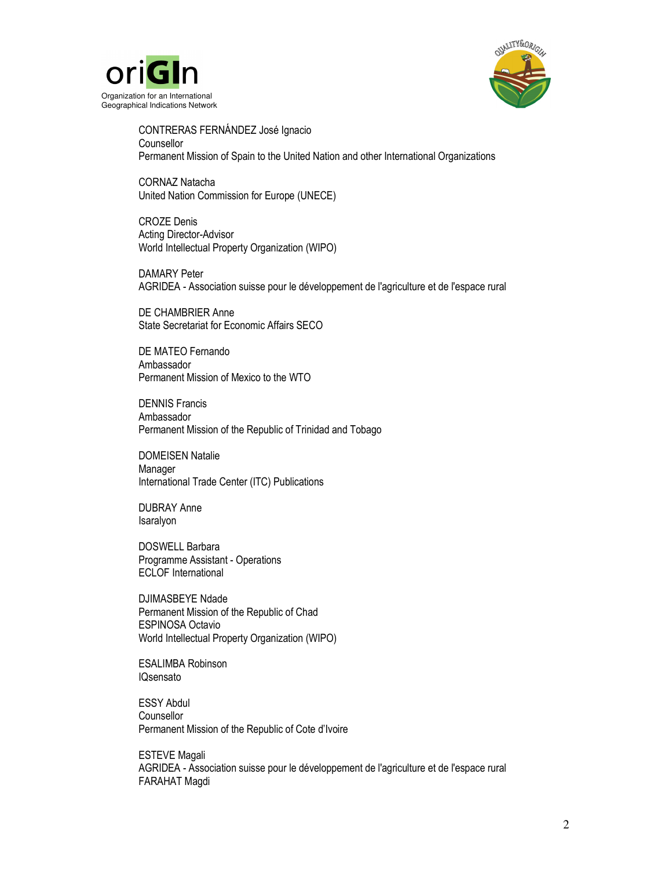



CONTRERAS FERNÁNDEZ José Ignacio **Counsellor** Permanent Mission of Spain to the United Nation and other International Organizations

CORNAZ Natacha United Nation Commission for Europe (UNECE)

CROZE Denis Acting Director-Advisor World Intellectual Property Organization (WIPO)

DAMARY Peter AGRIDEA - Association suisse pour le développement de l'agriculture et de l'espace rural

DE CHAMBRIER Anne State Secretariat for Economic Affairs SECO

DE MATEO Fernando Ambassador Permanent Mission of Mexico to the WTO

DENNIS Francis Ambassador Permanent Mission of the Republic of Trinidad and Tobago

DOMEISEN Natalie Manager International Trade Center (ITC) Publications

DUBRAY Anne Isaralyon

DOSWELL Barbara Programme Assistant - Operations ECLOF International

DJIMASBEYE Ndade Permanent Mission of the Republic of Chad ESPINOSA Octavio World Intellectual Property Organization (WIPO)

ESALIMBA Robinson IQsensato

ESSY Abdul Counsellor Permanent Mission of the Republic of Cote d'Ivoire

ESTEVE Magali AGRIDEA - Association suisse pour le développement de l'agriculture et de l'espace rural FARAHAT Magdi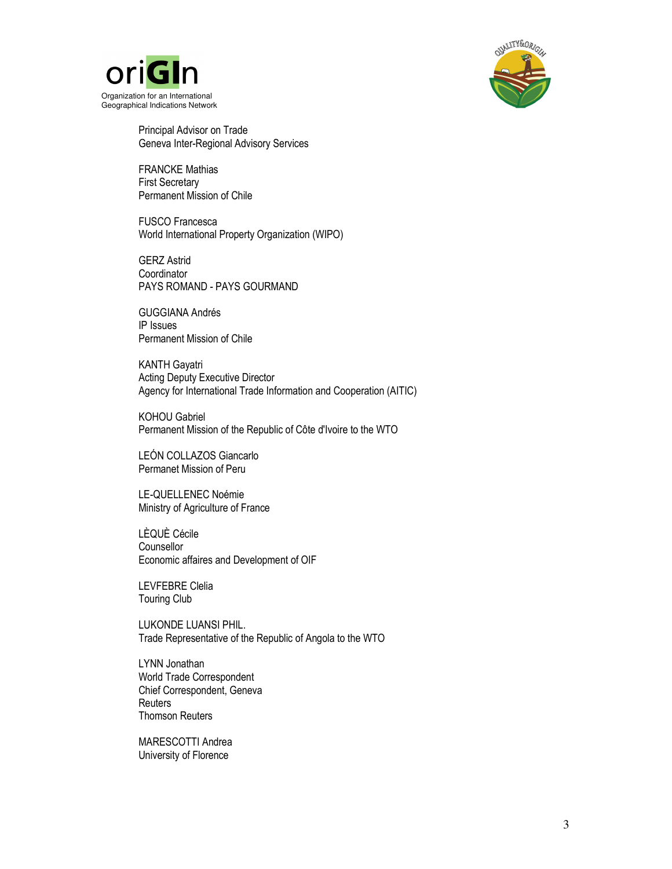



Principal Advisor on Trade Geneva Inter-Regional Advisory Services

FRANCKE Mathias First Secretary Permanent Mission of Chile

FUSCO Francesca World International Property Organization (WIPO)

GERZ Astrid **Coordinator** PAYS ROMAND - PAYS GOURMAND

GUGGIANA Andrés IP Issues Permanent Mission of Chile

KANTH Gayatri Acting Deputy Executive Director Agency for International Trade Information and Cooperation (AITIC)

KOHOU Gabriel Permanent Mission of the Republic of Côte d'Ivoire to the WTO

LEÓN COLLAZOS Giancarlo Permanet Mission of Peru

LE-QUELLENEC Noémie Ministry of Agriculture of France

LÈQUÈ Cécile **Counsellor** Economic affaires and Development of OIF

LEVFEBRE Clelia Touring Club

LUKONDE LUANSI PHIL. Trade Representative of the Republic of Angola to the WTO

LYNN Jonathan World Trade Correspondent Chief Correspondent, Geneva **Reuters** Thomson Reuters

MARESCOTTI Andrea University of Florence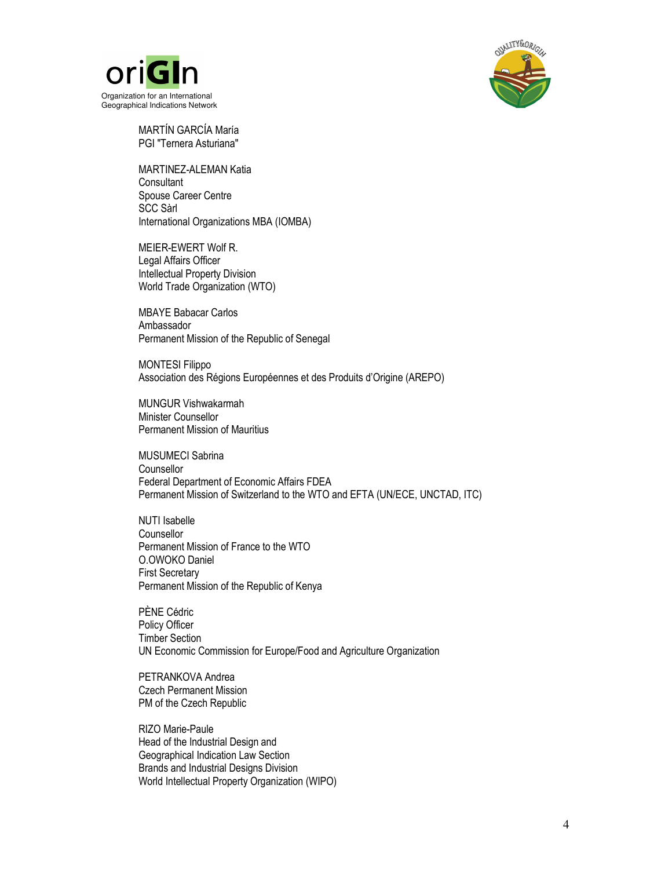



MARTÍN GARCÍA María PGI "Ternera Asturiana"

MARTINEZ-ALEMAN Katia **Consultant** Spouse Career Centre SCC Sàrl International Organizations MBA (IOMBA)

MEIER-EWERT Wolf R. Legal Affairs Officer Intellectual Property Division World Trade Organization (WTO)

MBAYE Babacar Carlos Ambassador Permanent Mission of the Republic of Senegal

MONTESI Filippo Association des Régions Européennes et des Produits d'Origine (AREPO)

MUNGUR Vishwakarmah Minister Counsellor Permanent Mission of Mauritius

MUSUMECI Sabrina **Counsellor** Federal Department of Economic Affairs FDEA Permanent Mission of Switzerland to the WTO and EFTA (UN/ECE, UNCTAD, ITC)

NUTI Isabelle **Counsellor** Permanent Mission of France to the WTO O.OWOKO Daniel First Secretary Permanent Mission of the Republic of Kenya

PÈNE Cédric Policy Officer Timber Section UN Economic Commission for Europe/Food and Agriculture Organization

PETRANKOVA Andrea Czech Permanent Mission PM of the Czech Republic

RIZO Marie-Paule Head of the Industrial Design and Geographical Indication Law Section Brands and Industrial Designs Division World Intellectual Property Organization (WIPO)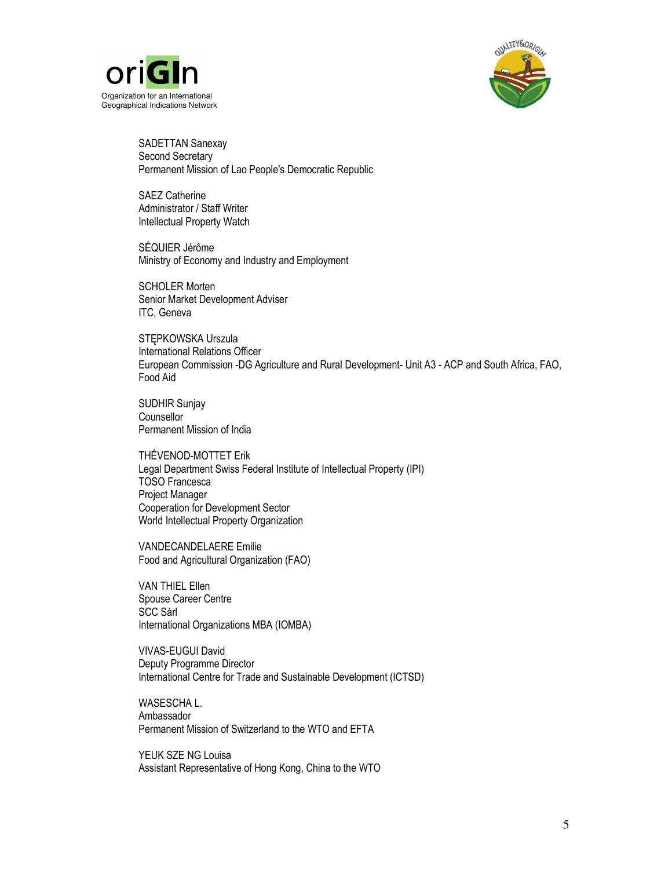



SADETTAN Sanexay Second Secretary Permanent Mission of Lao People's Democratic Republic

SAEZ Catherine Administrator / Staff Writer Intellectual Property Watch

SÉQUIER Jérôme Ministry of Economy and Industry and Employment

SCHOLER Morten Senior Market Development Adviser ITC, Geneva

STĘPKOWSKA Urszula International Relations Officer European Commission -DG Agriculture and Rural Development- Unit A3 - ACP and South Africa, FAO, Food Aid

SUDHIR Sunjay **Counsellor** Permanent Mission of India

THÉVENOD-MOTTET Erik Legal Department Swiss Federal Institute of Intellectual Property (IPI) TOSO Francesca Project Manager Cooperation for Development Sector World Intellectual Property Organization

VANDECANDELAERE Emilie Food and Agricultural Organization (FAO)

VAN THIEL Ellen Spouse Career Centre SCC Sàrl International Organizations MBA (IOMBA)

VIVAS-EUGUI David Deputy Programme Director International Centre for Trade and Sustainable Development (ICTSD)

WASESCHA L. Ambassador Permanent Mission of Switzerland to the WTO and EFTA

YEUK SZE NG Louisa Assistant Representative of Hong Kong, China to the WTO